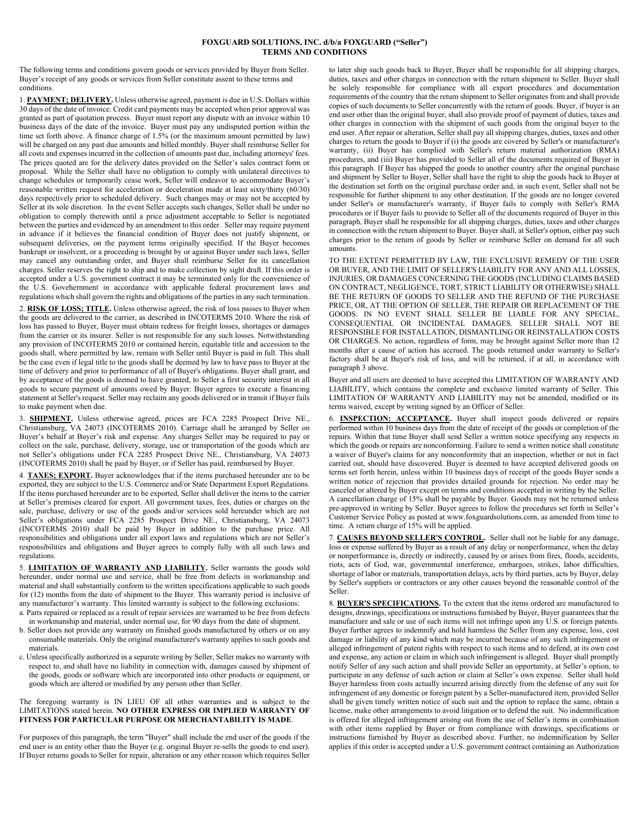## **FOXGUARD SOLUTIONS, INC. d/b/a FOXGUARD ("Seller") TERMS AND CONDITIONS**

The following terms and conditions govern goods or services provided by Buyer from Seller. Buyer's receipt of any goods or services from Seller constitute assent to these terms and conditions.

1. **PAYMENT; DELIVERY.** Unless otherwise agreed, payment is due in U.S. Dollars within 30 days of the date of invoice. Credit card payments may be accepted when prior approval was granted as part of quotation process. Buyer must report any dispute with an invoice within 10 business days of the date of the invoice. Buyer must pay any undisputed portion within the time set forth above. A finance charge of 1.5% (or the maximum amount permitted by law) will be charged on any past due amounts and billed monthly. Buyer shall reimburse Seller for all costs and expenses incurred in the collection of amounts past due, including attorneys' fees. The prices quoted are for the delivery dates provided on the Seller's sales contract form or proposal. While the Seller shall have no obligation to comply with unilateral directives to change schedules or temporarily cease work, Seller will endeavor to accommodate Buyer's reasonable written request for acceleration or deceleration made at least sixty/thirty (60/30) days respectively prior to scheduled delivery. Such changes may or may not be accepted by Seller at its sole discretion. In the event Seller accepts such changes, Seller shall be under no obligation to comply therewith until a price adjustment acceptable to Seller is negotiated between the parties and evidenced by an amendment to this order. Seller may require payment in advance if it believes the financial condition of Buyer does not justify shipment, or subsequent deliveries, on the payment terms originally specified. If the Buyer becomes bankrupt or insolvent, or a proceeding is brought by or against Buyer under such laws, Seller may cancel any outstanding order, and Buyer shall reimburse Seller for its cancellation charges. Seller reserves the right to ship and to make collection by sight draft. If this order is accepted under a U.S. government contract it may be terminated only for the convenience of the U.S. Govehernment in accordance with applicable federal procurement laws and regulations which shall govern the rights and obligations of the parties in any such termination.

2. **RISK OF LOSS; TITLE.** Unless otherwise agreed, the risk of loss passes to Buyer when the goods are delivered to the carrier, as described in INCOTERMS 2010. Where the risk of loss has passed to Buyer, Buyer must obtain redress for freight losses, shortages or damages from the carrier or its insurer. Seller is not responsible for any such losses. Notwithstanding any provision of INCOTERMS 2010 or contained herein, equitable title and accession to the goods shall, where permitted by law, remain with Seller until Buyer is paid in full. This shall be the case even if legal title to the goods shall be deemed by law to have pass to Buyer at the time of delivery and prior to performance of all of Buyer's obligations. Buyer shall grant, and by acceptance of the goods is deemed to have granted, to Seller a first security interest in all goods to secure payment of amounts owed by Buyer. Buyer agrees to execute a financing statement at Seller's request. Seller may reclaim any goods delivered or in transit if Buyer fails to make payment when due.

3. **SHIPMENT.** Unless otherwise agreed, prices are FCA 2285 Prospect Drive NE., Christiansburg, VA 24073 (INCOTERMS 2010). Carriage shall be arranged by Seller on Buyer's behalf at Buyer's risk and expense. Any charges Seller may be required to pay or collect on the sale, purchase, delivery, storage, use or transportation of the goods which are not Seller's obligations under FCA 2285 Prospect Drive NE., Christiansburg, VA 24073 (INCOTERMS 2010) shall be paid by Buyer, or if Seller has paid, reimbursed by Buyer.

4. **TAXES; EXPORT.** Buyer acknowledges that if the items purchased hereunder are to be exported, they are subject to the U.S. Commerce and/or State Department Export Regulations. If the items purchased hereunder are to be exported, Seller shall deliver the items to the carrier at Seller's premises cleared for export. All government taxes, fees, duties or charges on the sale, purchase, delivery or use of the goods and/or services sold hereunder which are not Seller's obligations under FCA 2285 Prospect Drive NE., Christiansburg, VA 24073 (INCOTERMS 2010) shall be paid by Buyer in addition to the purchase price. All responsibilities and obligations under all export laws and regulations which are not Seller's responsibilities and obligations and Buyer agrees to comply fully with all such laws and regulations.

5. **LIMITATION OF WARRANTY AND LIABILITY.** Seller warrants the goods sold hereunder, under normal use and service, shall be free from defects in workmanship and material and shall substantially conform to the written specifications applicable to such goods for (12) months from the date of shipment to the Buyer. This warranty period is inclusive of any manufacturer's warranty. This limited warranty is subject to the following exclusions:

a. Parts repaired or replaced as a result of repair services are warranted to be free from defects in workmanship and material, under normal use, for 90 days from the date of shipment.

- b. Seller does not provide any warranty on finished goods manufactured by others or on any consumable materials. Only the original manufacturer's warranty applies to such goods and materials.
- c. Unless specifically authorized in a separate writing by Seller, Seller makes no warranty with respect to, and shall have no liability in connection with, damages caused by shipment of the goods, goods or software which are incorporated into other products or equipment, or goods which are altered or modified by any person other than Seller.

The foregoing warranty is IN LIEU OF all other warranties and is subject to the LIMITATIONS stated herein. **NO OTHER EXPRESS OR IMPLIED WARRANTY OF FITNESS FOR PARTICULAR PURPOSE OR MERCHANTABILITY IS MADE**.

For purposes of this paragraph, the term "Buyer" shall include the end user of the goods if the end user is an entity other than the Buyer (e.g. original Buyer re-sells the goods to end user). If Buyer returns goods to Seller for repair, alteration or any other reason which requires Seller to later ship such goods back to Buyer, Buyer shall be responsible for all shipping charges, duties, taxes and other charges in connection with the return shipment to Seller. Buyer shall be solely responsible for compliance with all export procedures and documentation requirements of the country that the return shipment to Seller originates from and shall provide copies of such documents to Seller concurrently with the return of goods. Buyer, if buyer is an end user other than the original buyer, shall also provide proof of payment of duties, taxes and other charges in connection with the shipment of such goods from the original buyer to the end user. After repair or alteration, Seller shall pay all shipping charges, duties, taxes and other charges to return the goods to Buyer if (i) the goods are covered by Seller's or manufacturer's warranty, (ii) Buyer has complied with Seller's return material authorization (RMA) procedures, and (iii) Buyer has provided to Seller all of the documents required of Buyer in this paragraph. If Buyer has shipped the goods to another country after the original purchase and shipment by Seller to Buyer, Seller shall have the right to ship the goods back to Buyer at the destination set forth on the original purchase order and, in such event, Seller shall not be responsible for further shipment to any other destination. If the goods are no longer covered under Seller's or manufacturer's warranty, if Buyer fails to comply with Seller's RMA procedures or if Buyer fails to provide to Seller all of the documents required of Buyer in this paragraph, Buyer shall be responsible for all shipping charges, duties, taxes and other charges in connection with the return shipment to Buyer. Buyer shall, at Seller's option, either pay such charges prior to the return of goods by Seller or reimburse Seller on demand for all such amounts.

TO THE EXTENT PERMITTED BY LAW, THE EXCLUSIVE REMEDY OF THE USER OR BUYER, AND THE LIMIT OF SELLER'S LIABILITY FOR ANY AND ALL LOSSES, INJURIES, OR DAMAGES CONCERNING THE GOODS (INCLUDING CLAIMS BASED ON CONTRACT, NEGLIGENCE, TORT, STRICT LIABILITY OR OTHERWISE) SHALL BE THE RETURN OF GOODS TO SELLER AND THE REFUND OF THE PURCHASE PRICE, OR, AT THE OPTION OF SELLER, THE REPAIR OR REPLACEMENT OF THE GOODS. IN NO EVENT SHALL SELLER BE LIABLE FOR ANY SPECIAL, CONSEQUENTIAL OR INCIDENTAL DAMAGES. SELLER SHALL NOT BE RESPONSIBLE FOR INSTALLATION, DISMANTLING OR REINSTALLATION COSTS OR CHARGES. No action, regardless of form, may be brought against Seller more than 12 months after a cause of action has accrued. The goods returned under warranty to Seller's factory shall be at Buyer's risk of loss, and will be returned, if at all, in accordance with paragraph 3 above.

Buyer and all users are deemed to have accepted this LIMITATION OF WARRANTY AND LIABILITY, which contains the complete and exclusive limited warranty of Seller. This LIMITATION OF WARRANTY AND LIABILITY may not be amended, modified or its terms waived, except by writing signed by an Officer of Seller.

6. **INSPECTION: ACCEPTANCE.** Buyer shall inspect goods delivered or repairs performed within 10 business days from the date of receipt of the goods or completion of the repairs. Within that time Buyer shall send Seller a written notice specifying any respects in which the goods or repairs are nonconforming. Failure to send a written notice shall constitute a waiver of Buyer's claims for any nonconformity that an inspection, whether or not in fact carried out, should have discovered. Buyer is deemed to have accepted delivered goods on terms set forth herein, unless within 10 business days of receipt of the goods Buyer sends a written notice of rejection that provides detailed grounds for rejection. No order may be canceled or altered by Buyer except on terms and conditions accepted in writing by the Seller. A cancellation charge of 15% shall be payable by Buyer. Goods may not be returned unless pre-approved in writing by Seller. Buyer agrees to follow the procedures set forth in Seller's Customer Service Policy as posted at www.foxguardsolutions.com, as amended from time to time. A return charge of 15% will be applied.

7. **CAUSES BEYOND SELLER'S CONTROL.** Seller shall not be liable for any damage, loss or expense suffered by Buyer as a result of any delay or nonperformance, when the delay or nonperformance is, directly or indirectly, caused by or arises from fires, floods, accidents, riots, acts of God, war, governmental interference, embargoes, strikes, labor difficulties, shortage of labor or materials, transportation delays, acts by third parties, acts by Buyer, delay by Seller's suppliers or contractors or any other causes beyond the reasonable control of the Seller.

8. **BUYER'S SPECIFICATIONS.** To the extent that the items ordered are manufactured to designs, drawings, specifications or instructions furnished by Buyer, Buyer guarantees that the manufacture and sale or use of such items will not infringe upon any U.S. or foreign patents. Buyer further agrees to indemnify and hold harmless the Seller from any expense, loss, cost damage or liability of any kind which may be incurred because of any such infringement or alleged infringement of patent rights with respect to such items and to defend, at its own cost and expense, any action or claim in which such infringement is alleged. Buyer shall promptly notify Seller of any such action and shall provide Seller an opportunity, at Seller's option, to participate in any defense of such action or claim at Seller's own expense. Seller shall hold Buyer harmless from costs actually incurred arising directly from the defense of any suit for infringement of any domestic or foreign patent by a Seller-manufactured item, provided Seller shall be given timely written notice of such suit and the option to replace the same, obtain a license, make other arrangements to avoid litigation or to defend the suit. No indemnification is offered for alleged infringement arising out from the use of Seller's items in combination with other items supplied by Buyer or from compliance with drawings, specifications or instructions furnished by Buyer as described above. Further, no indemnification by Seller applies if this order is accepted under a U.S. government contract containing an Authorization